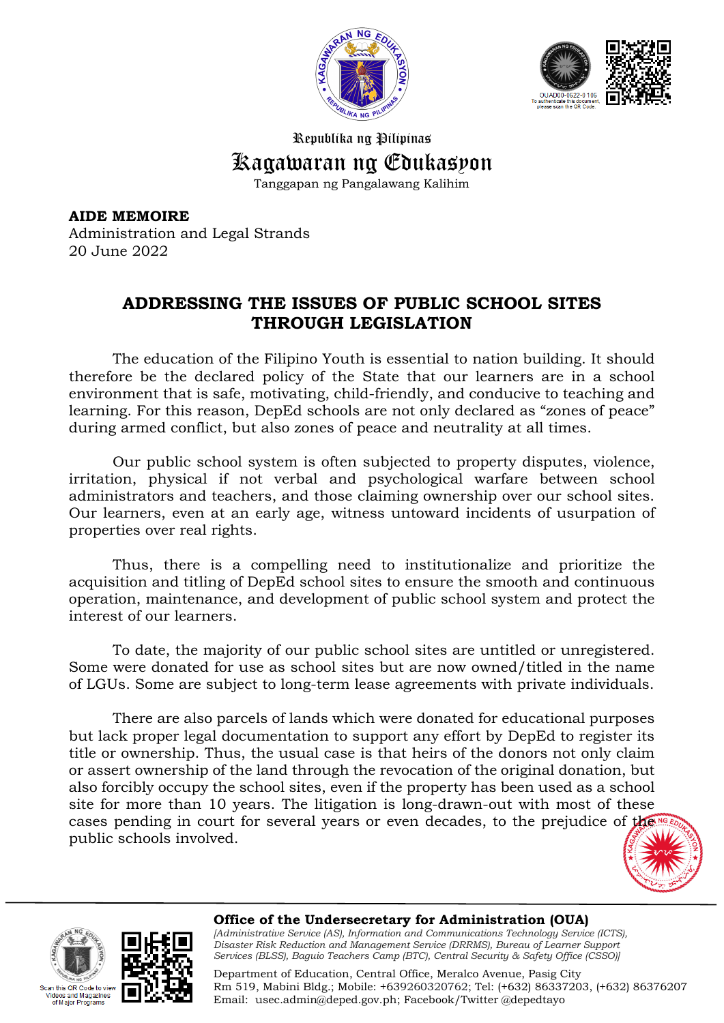



Republika ng Pilipinas Kagawaran ng Edukasyon

Tanggapan ng Pangalawang Kalihim

**AIDE MEMOIRE** Administration and Legal Strands 20 June 2022

## **ADDRESSING THE ISSUES OF PUBLIC SCHOOL SITES THROUGH LEGISLATION**

The education of the Filipino Youth is essential to nation building. It should therefore be the declared policy of the State that our learners are in a school environment that is safe, motivating, child-friendly, and conducive to teaching and learning. For this reason, DepEd schools are not only declared as "zones of peace" during armed conflict, but also zones of peace and neutrality at all times.

Our public school system is often subjected to property disputes, violence, irritation, physical if not verbal and psychological warfare between school administrators and teachers, and those claiming ownership over our school sites. Our learners, even at an early age, witness untoward incidents of usurpation of properties over real rights.

Thus, there is a compelling need to institutionalize and prioritize the acquisition and titling of DepEd school sites to ensure the smooth and continuous operation, maintenance, and development of public school system and protect the interest of our learners.

To date, the majority of our public school sites are untitled or unregistered. Some were donated for use as school sites but are now owned/titled in the name of LGUs. Some are subject to long-term lease agreements with private individuals.

There are also parcels of lands which were donated for educational purposes but lack proper legal documentation to support any effort by DepEd to register its title or ownership. Thus, the usual case is that heirs of the donors not only claim or assert ownership of the land through the revocation of the original donation, but also forcibly occupy the school sites, even if the property has been used as a school site for more than 10 years. The litigation is long-drawn-out with most of these cases pending in court for several years or even decades, to the prejudice of the public schools involved.







**Office of the Undersecretary for Administration (OUA)** *[Administrative Service (AS), Information and Communications Technology Service (ICTS), Disaster Risk Reduction and Management Service (DRRMS), Bureau of Learner Support Services (BLSS), Baguio Teachers Camp (BTC), Central Security & Safety Office (CSSO)]*

Department of Education, Central Office, Meralco Avenue, Pasig City Rm 519, Mabini Bldg.; Mobile: +639260320762; Tel: (+632) 86337203, (+632) 86376207 Email: [usec.admin@deped.gov.ph;](mailto:usec.admin@deped.gov.ph) Facebook/Twitter @depedtayo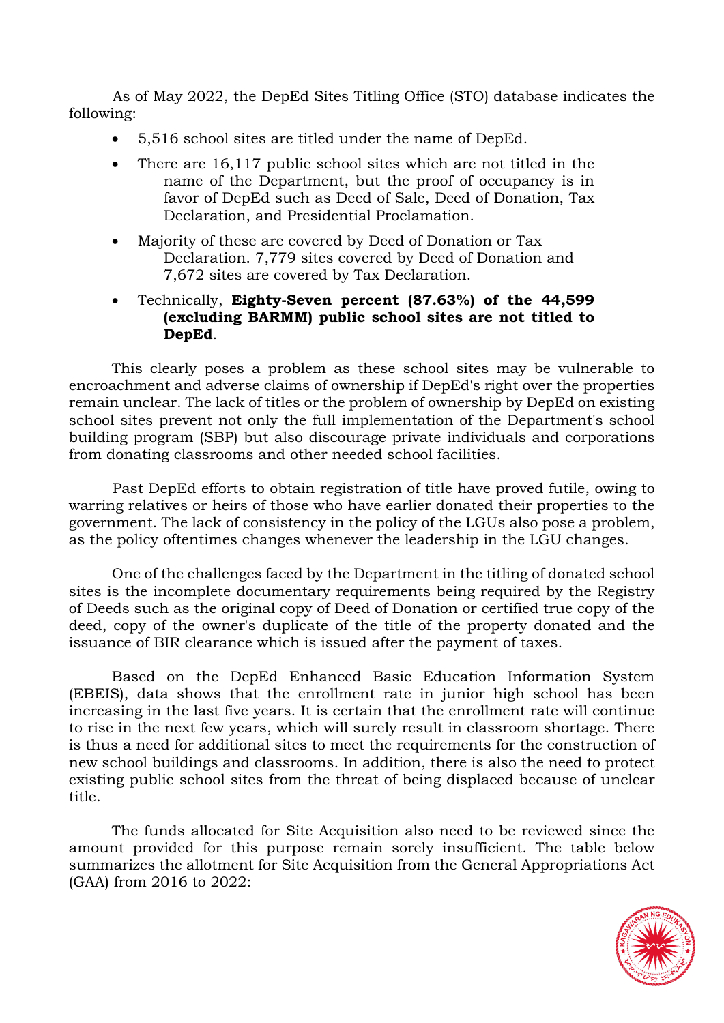As of May 2022, the DepEd Sites Titling Office (STO) database indicates the following:

- 5,516 school sites are titled under the name of DepEd.
- There are 16,117 public school sites which are not titled in the name of the Department, but the proof of occupancy is in favor of DepEd such as Deed of Sale, Deed of Donation, Tax Declaration, and Presidential Proclamation.
- Majority of these are covered by Deed of Donation or Tax Declaration. 7,779 sites covered by Deed of Donation and 7,672 sites are covered by Tax Declaration.
- Technically, **Eighty-Seven percent (87.63%) of the 44,599 (excluding BARMM) public school sites are not titled to DepEd**.

This clearly poses a problem as these school sites may be vulnerable to encroachment and adverse claims of ownership if DepEd's right over the properties remain unclear. The lack of titles or the problem of ownership by DepEd on existing school sites prevent not only the full implementation of the Department's school building program (SBP) but also discourage private individuals and corporations from donating classrooms and other needed school facilities.

Past DepEd efforts to obtain registration of title have proved futile, owing to warring relatives or heirs of those who have earlier donated their properties to the government. The lack of consistency in the policy of the LGUs also pose a problem, as the policy oftentimes changes whenever the leadership in the LGU changes.

One of the challenges faced by the Department in the titling of donated school sites is the incomplete documentary requirements being required by the Registry of Deeds such as the original copy of Deed of Donation or certified true copy of the deed, copy of the owner's duplicate of the title of the property donated and the issuance of BIR clearance which is issued after the payment of taxes.

Based on the DepEd Enhanced Basic Education Information System (EBEIS), data shows that the enrollment rate in junior high school has been increasing in the last five years. It is certain that the enrollment rate will continue to rise in the next few years, which will surely result in classroom shortage. There is thus a need for additional sites to meet the requirements for the construction of new school buildings and classrooms. In addition, there is also the need to protect existing public school sites from the threat of being displaced because of unclear title.

The funds allocated for Site Acquisition also need to be reviewed since the amount provided for this purpose remain sorely insufficient. The table below summarizes the allotment for Site Acquisition from the General Appropriations Act (GAA) from 2016 to 2022:

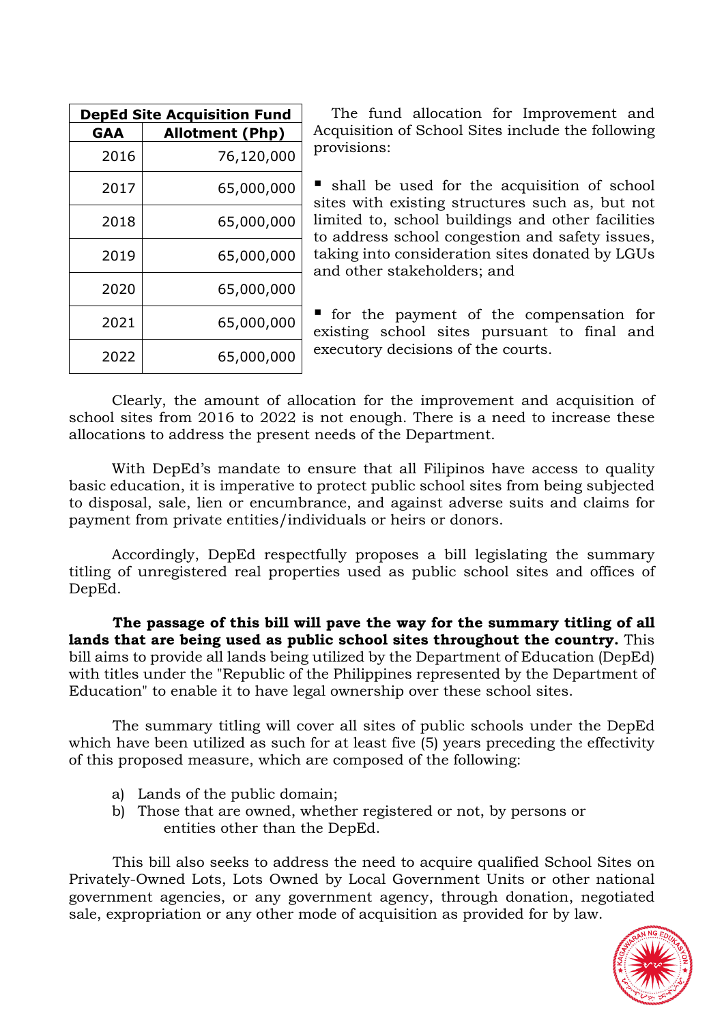| <b>DepEd Site Acquisition Fund</b> |                        |
|------------------------------------|------------------------|
| GAA                                | <b>Allotment (Php)</b> |
| 2016                               | 76,120,000             |
| 2017                               | 65,000,000             |
| 2018                               | 65,000,000             |
| 2019                               | 65,000,000             |
| 2020                               | 65,000,000             |
| 2021                               | 65,000,000             |
| 2022                               | 65,000,000             |

The fund allocation for Improvement and Acquisition of School Sites include the following provisions:

 shall be used for the acquisition of school sites with existing structures such as, but not limited to, school buildings and other facilities to address school congestion and safety issues, taking into consideration sites donated by LGUs and other stakeholders; and

 for the payment of the compensation for existing school sites pursuant to final and executory decisions of the courts.

Clearly, the amount of allocation for the improvement and acquisition of school sites from 2016 to 2022 is not enough. There is a need to increase these allocations to address the present needs of the Department.

With DepEd's mandate to ensure that all Filipinos have access to quality basic education, it is imperative to protect public school sites from being subjected to disposal, sale, lien or encumbrance, and against adverse suits and claims for payment from private entities/individuals or heirs or donors.

Accordingly, DepEd respectfully proposes a bill legislating the summary titling of unregistered real properties used as public school sites and offices of DepEd.

**The passage of this bill will pave the way for the summary titling of all lands that are being used as public school sites throughout the country.** This bill aims to provide all lands being utilized by the Department of Education (DepEd) with titles under the "Republic of the Philippines represented by the Department of Education" to enable it to have legal ownership over these school sites.

The summary titling will cover all sites of public schools under the DepEd which have been utilized as such for at least five (5) years preceding the effectivity of this proposed measure, which are composed of the following:

- a) Lands of the public domain;
- b) Those that are owned, whether registered or not, by persons or entities other than the DepEd.

This bill also seeks to address the need to acquire qualified School Sites on Privately-Owned Lots, Lots Owned by Local Government Units or other national government agencies, or any government agency, through donation, negotiated sale, expropriation or any other mode of acquisition as provided for by law.

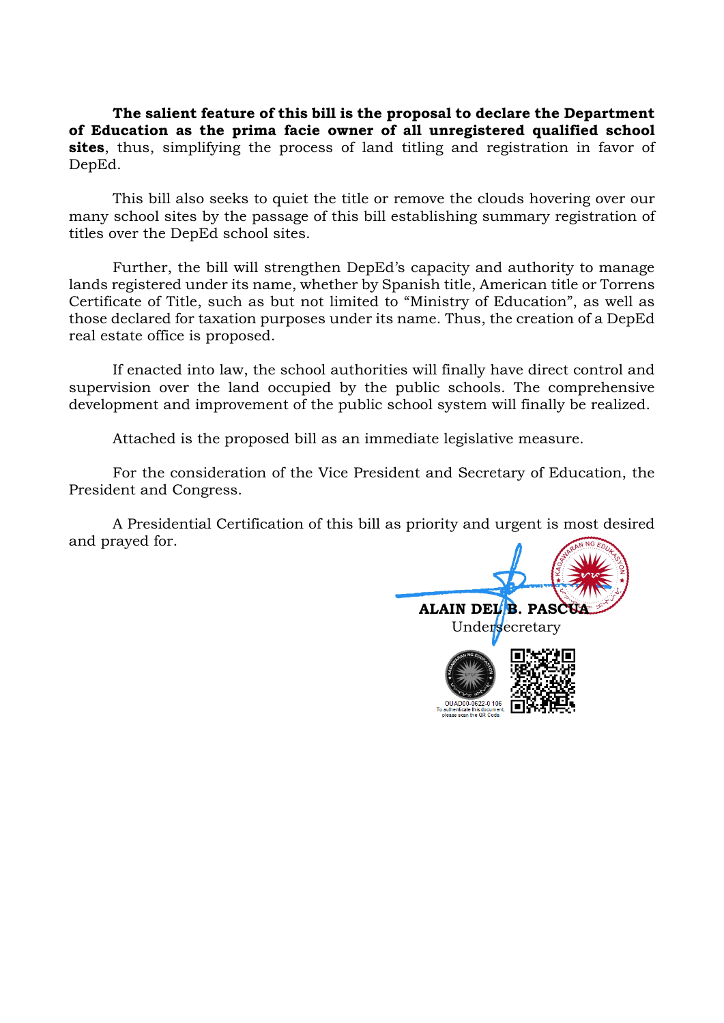**The salient feature of this bill is the proposal to declare the Department of Education as the prima facie owner of all unregistered qualified school sites**, thus, simplifying the process of land titling and registration in favor of DepEd.

This bill also seeks to quiet the title or remove the clouds hovering over our many school sites by the passage of this bill establishing summary registration of titles over the DepEd school sites.

Further, the bill will strengthen DepEd's capacity and authority to manage lands registered under its name, whether by Spanish title, American title or Torrens Certificate of Title, such as but not limited to "Ministry of Education", as well as those declared for taxation purposes under its name. Thus, the creation of a DepEd real estate office is proposed.

If enacted into law, the school authorities will finally have direct control and supervision over the land occupied by the public schools. The comprehensive development and improvement of the public school system will finally be realized.

Attached is the proposed bill as an immediate legislative measure.

For the consideration of the Vice President and Secretary of Education, the President and Congress.

A Presidential Certification of this bill as priority and urgent is most desired and prayed for.

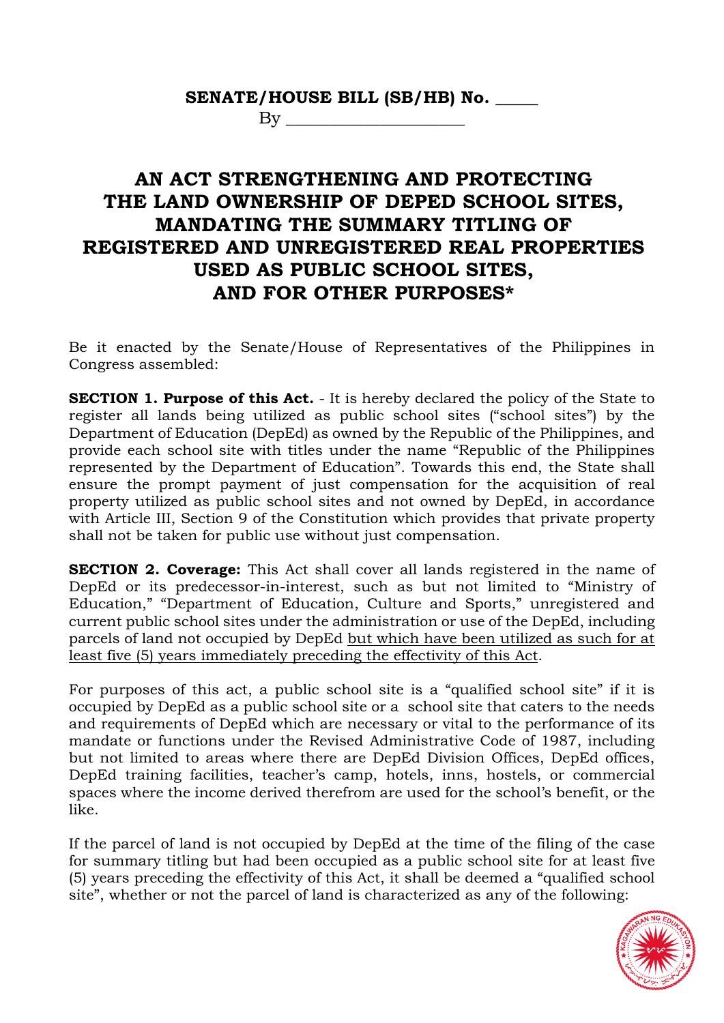## **SENATE/HOUSE BILL (SB/HB) No. \_\_\_\_\_**

 $By \_\_$ 

## **AN ACT STRENGTHENING AND PROTECTING THE LAND OWNERSHIP OF DEPED SCHOOL SITES, MANDATING THE SUMMARY TITLING OF REGISTERED AND UNREGISTERED REAL PROPERTIES USED AS PUBLIC SCHOOL SITES, AND FOR OTHER PURPOSES\***

Be it enacted by the Senate/House of Representatives of the Philippines in Congress assembled:

**SECTION 1. Purpose of this Act.** - It is hereby declared the policy of the State to register all lands being utilized as public school sites ("school sites") by the Department of Education (DepEd) as owned by the Republic of the Philippines, and provide each school site with titles under the name "Republic of the Philippines represented by the Department of Education". Towards this end, the State shall ensure the prompt payment of just compensation for the acquisition of real property utilized as public school sites and not owned by DepEd, in accordance with Article III, Section 9 of the Constitution which provides that private property shall not be taken for public use without just compensation.

**SECTION 2. Coverage:** This Act shall cover all lands registered in the name of DepEd or its predecessor-in-interest, such as but not limited to "Ministry of Education," "Department of Education, Culture and Sports," unregistered and current public school sites under the administration or use of the DepEd, including parcels of land not occupied by DepEd but which have been utilized as such for at least five (5) years immediately preceding the effectivity of this Act.

For purposes of this act, a public school site is a "qualified school site" if it is occupied by DepEd as a public school site or a school site that caters to the needs and requirements of DepEd which are necessary or vital to the performance of its mandate or functions under the Revised Administrative Code of 1987, including but not limited to areas where there are DepEd Division Offices, DepEd offices, DepEd training facilities, teacher's camp, hotels, inns, hostels, or commercial spaces where the income derived therefrom are used for the school's benefit, or the like.

If the parcel of land is not occupied by DepEd at the time of the filing of the case for summary titling but had been occupied as a public school site for at least five (5) years preceding the effectivity of this Act, it shall be deemed a "qualified school site", whether or not the parcel of land is characterized as any of the following:

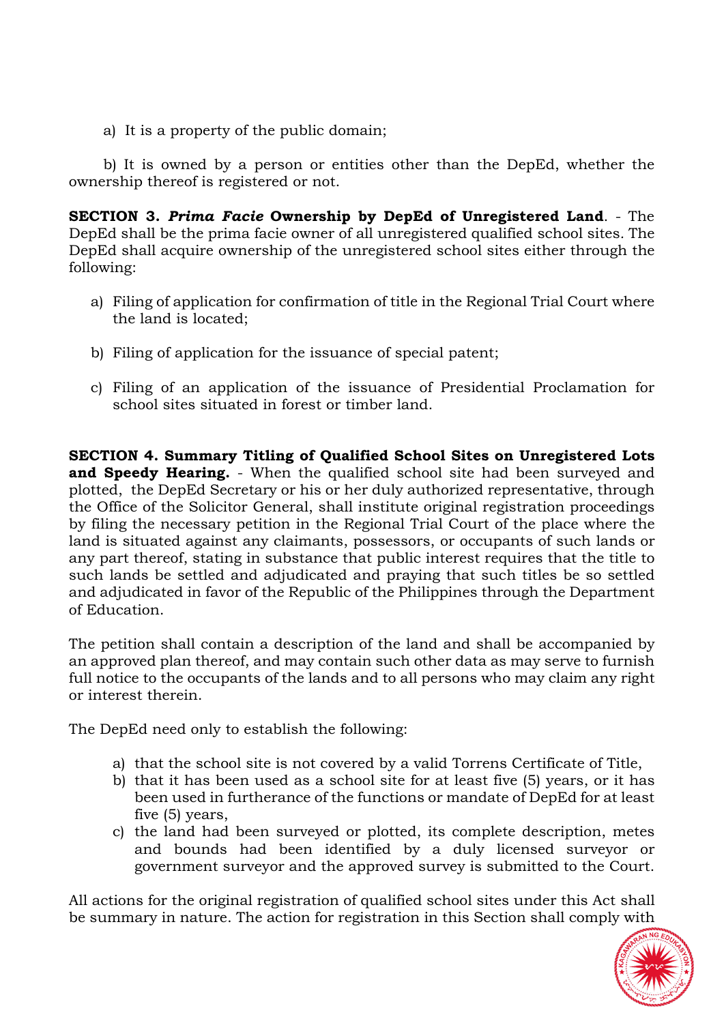a) It is a property of the public domain;

b) It is owned by a person or entities other than the DepEd, whether the ownership thereof is registered or not.

**SECTION 3.** *Prima Facie* **Ownership by DepEd of Unregistered Land**. - The DepEd shall be the prima facie owner of all unregistered qualified school sites*.* The DepEd shall acquire ownership of the unregistered school sites either through the following:

- a) Filing of application for confirmation of title in the Regional Trial Court where the land is located;
- b) Filing of application for the issuance of special patent;
- c) Filing of an application of the issuance of Presidential Proclamation for school sites situated in forest or timber land.

**SECTION 4. Summary Titling of Qualified School Sites on Unregistered Lots and Speedy Hearing.** - When the qualified school site had been surveyed and plotted, the DepEd Secretary or his or her duly authorized representative, through the Office of the Solicitor General, shall institute original registration proceedings by filing the necessary petition in the Regional Trial Court of the place where the land is situated against any claimants, possessors, or occupants of such lands or any part thereof, stating in substance that public interest requires that the title to such lands be settled and adjudicated and praying that such titles be so settled and adjudicated in favor of the Republic of the Philippines through the Department of Education.

The petition shall contain a description of the land and shall be accompanied by an approved plan thereof, and may contain such other data as may serve to furnish full notice to the occupants of the lands and to all persons who may claim any right or interest therein.

The DepEd need only to establish the following:

- a) that the school site is not covered by a valid Torrens Certificate of Title,
- b) that it has been used as a school site for at least five (5) years, or it has been used in furtherance of the functions or mandate of DepEd for at least five (5) years,
- c) the land had been surveyed or plotted, its complete description, metes and bounds had been identified by a duly licensed surveyor or government surveyor and the approved survey is submitted to the Court.

All actions for the original registration of qualified school sites under this Act shall be summary in nature. The action for registration in this Section shall comply with

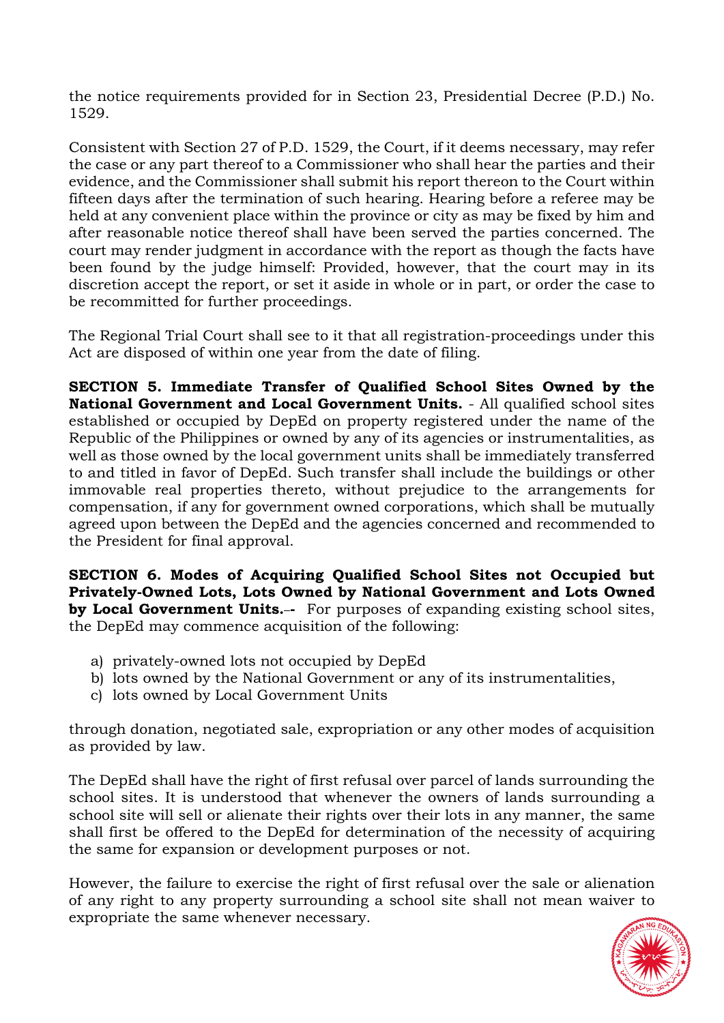the notice requirements provided for in Section 23, Presidential Decree (P.D.) No. 1529.

Consistent with Section 27 of P.D. 1529, the Court, if it deems necessary, may refer the case or any part thereof to a Commissioner who shall hear the parties and their evidence, and the Commissioner shall submit his report thereon to the Court within fifteen days after the termination of such hearing. Hearing before a referee may be held at any convenient place within the province or city as may be fixed by him and after reasonable notice thereof shall have been served the parties concerned. The court may render judgment in accordance with the report as though the facts have been found by the judge himself: Provided, however, that the court may in its discretion accept the report, or set it aside in whole or in part, or order the case to be recommitted for further proceedings.

The Regional Trial Court shall see to it that all registration-proceedings under this Act are disposed of within one year from the date of filing.

**SECTION 5. Immediate Transfer of Qualified School Sites Owned by the National Government and Local Government Units.** - All qualified school sites established or occupied by DepEd on property registered under the name of the Republic of the Philippines or owned by any of its agencies or instrumentalities, as well as those owned by the local government units shall be immediately transferred to and titled in favor of DepEd. Such transfer shall include the buildings or other immovable real properties thereto, without prejudice to the arrangements for compensation, if any for government owned corporations, which shall be mutually agreed upon between the DepEd and the agencies concerned and recommended to the President for final approval.

**SECTION 6. Modes of Acquiring Qualified School Sites not Occupied but Privately-Owned Lots, Lots Owned by National Government and Lots Owned by Local Government Units.** For purposes of expanding existing school sites, the DepEd may commence acquisition of the following:

- a) privately-owned lots not occupied by DepEd
- b) lots owned by the National Government or any of its instrumentalities,
- c) lots owned by Local Government Units

through donation, negotiated sale, expropriation or any other modes of acquisition as provided by law.

The DepEd shall have the right of first refusal over parcel of lands surrounding the school sites. It is understood that whenever the owners of lands surrounding a school site will sell or alienate their rights over their lots in any manner, the same shall first be offered to the DepEd for determination of the necessity of acquiring the same for expansion or development purposes or not.

However, the failure to exercise the right of first refusal over the sale or alienation of any right to any property surrounding a school site shall not mean waiver to expropriate the same whenever necessary.

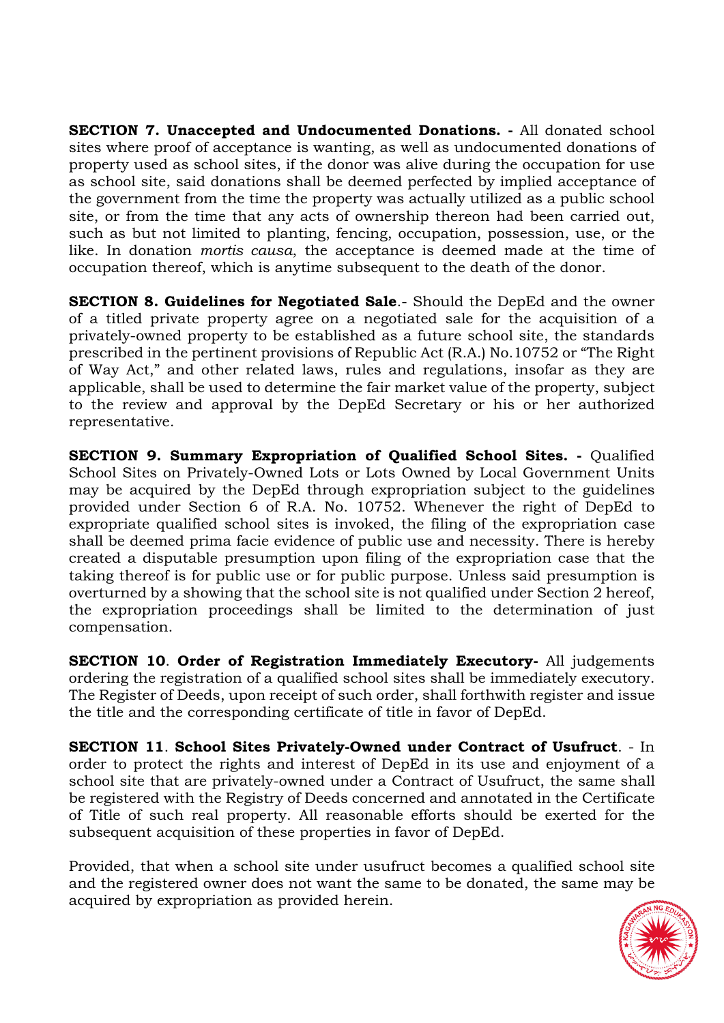**SECTION 7. Unaccepted and Undocumented Donations. -** All donated school sites where proof of acceptance is wanting, as well as undocumented donations of property used as school sites, if the donor was alive during the occupation for use as school site, said donations shall be deemed perfected by implied acceptance of the government from the time the property was actually utilized as a public school site, or from the time that any acts of ownership thereon had been carried out, such as but not limited to planting, fencing, occupation, possession, use, or the like. In donation *mortis causa*, the acceptance is deemed made at the time of occupation thereof, which is anytime subsequent to the death of the donor.

**SECTION 8. Guidelines for Negotiated Sale**.- Should the DepEd and the owner of a titled private property agree on a negotiated sale for the acquisition of a privately-owned property to be established as a future school site, the standards prescribed in the pertinent provisions of Republic Act (R.A.) No.10752 or "The Right of Way Act," and other related laws, rules and regulations, insofar as they are applicable, shall be used to determine the fair market value of the property, subject to the review and approval by the DepEd Secretary or his or her authorized representative.

**SECTION 9. Summary Expropriation of Qualified School Sites. -** Qualified School Sites on Privately-Owned Lots or Lots Owned by Local Government Units may be acquired by the DepEd through expropriation subject to the guidelines provided under Section 6 of R.A. No. 10752. Whenever the right of DepEd to expropriate qualified school sites is invoked, the filing of the expropriation case shall be deemed prima facie evidence of public use and necessity. There is hereby created a disputable presumption upon filing of the expropriation case that the taking thereof is for public use or for public purpose. Unless said presumption is overturned by a showing that the school site is not qualified under Section 2 hereof, the expropriation proceedings shall be limited to the determination of just compensation.

**SECTION 10**. **Order of Registration Immediately Executory-** All judgements ordering the registration of a qualified school sites shall be immediately executory. The Register of Deeds, upon receipt of such order, shall forthwith register and issue the title and the corresponding certificate of title in favor of DepEd.

**SECTION 11**. **School Sites Privately-Owned under Contract of Usufruct**. - In order to protect the rights and interest of DepEd in its use and enjoyment of a school site that are privately-owned under a Contract of Usufruct, the same shall be registered with the Registry of Deeds concerned and annotated in the Certificate of Title of such real property. All reasonable efforts should be exerted for the subsequent acquisition of these properties in favor of DepEd.

Provided, that when a school site under usufruct becomes a qualified school site and the registered owner does not want the same to be donated, the same may be acquired by expropriation as provided herein.

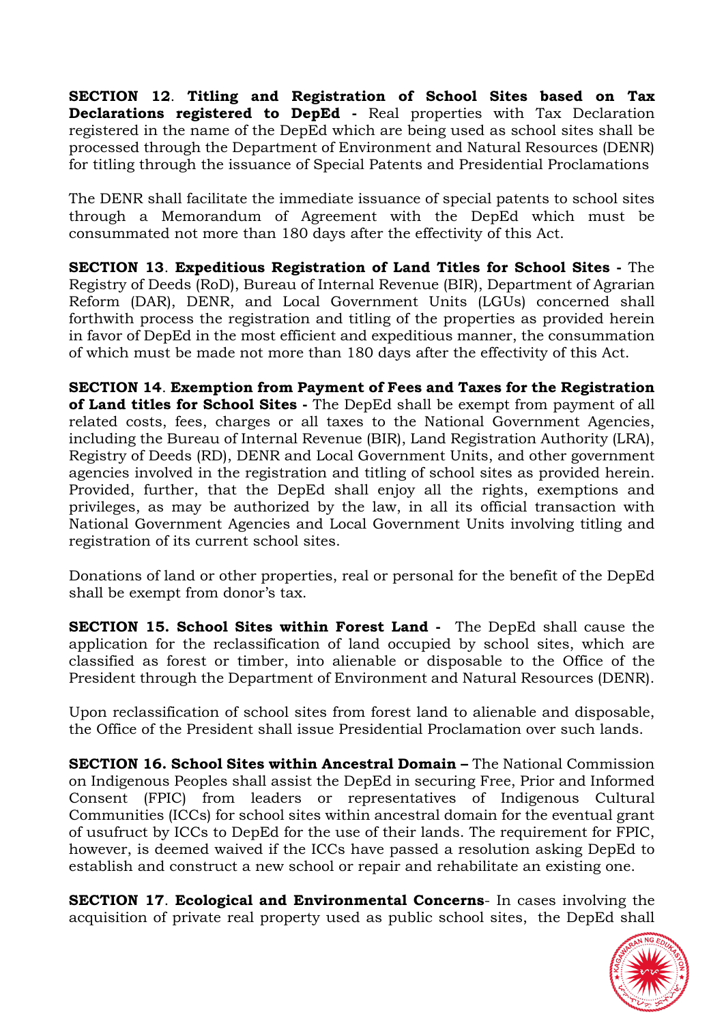**SECTION 12**. **Titling and Registration of School Sites based on Tax Declarations registered to DepEd -** Real properties with Tax Declaration registered in the name of the DepEd which are being used as school sites shall be processed through the Department of Environment and Natural Resources (DENR) for titling through the issuance of Special Patents and Presidential Proclamations

The DENR shall facilitate the immediate issuance of special patents to school sites through a Memorandum of Agreement with the DepEd which must be consummated not more than 180 days after the effectivity of this Act.

**SECTION 13**. **Expeditious Registration of Land Titles for School Sites -** The Registry of Deeds (RoD), Bureau of Internal Revenue (BIR), Department of Agrarian Reform (DAR), DENR, and Local Government Units (LGUs) concerned shall forthwith process the registration and titling of the properties as provided herein in favor of DepEd in the most efficient and expeditious manner, the consummation of which must be made not more than 180 days after the effectivity of this Act.

**SECTION 14**. **Exemption from Payment of Fees and Taxes for the Registration of Land titles for School Sites -** The DepEd shall be exempt from payment of all related costs, fees, charges or all taxes to the National Government Agencies, including the Bureau of Internal Revenue (BIR), Land Registration Authority (LRA), Registry of Deeds (RD), DENR and Local Government Units, and other government agencies involved in the registration and titling of school sites as provided herein. Provided, further, that the DepEd shall enjoy all the rights, exemptions and privileges, as may be authorized by the law, in all its official transaction with National Government Agencies and Local Government Units involving titling and registration of its current school sites.

Donations of land or other properties, real or personal for the benefit of the DepEd shall be exempt from donor's tax.

**SECTION 15. School Sites within Forest Land -** The DepEd shall cause the application for the reclassification of land occupied by school sites, which are classified as forest or timber, into alienable or disposable to the Office of the President through the Department of Environment and Natural Resources (DENR).

Upon reclassification of school sites from forest land to alienable and disposable, the Office of the President shall issue Presidential Proclamation over such lands.

**SECTION 16. School Sites within Ancestral Domain –** The National Commission on Indigenous Peoples shall assist the DepEd in securing Free, Prior and Informed Consent (FPIC) from leaders or representatives of Indigenous Cultural Communities (ICCs) for school sites within ancestral domain for the eventual grant of usufruct by ICCs to DepEd for the use of their lands. The requirement for FPIC, however, is deemed waived if the ICCs have passed a resolution asking DepEd to establish and construct a new school or repair and rehabilitate an existing one.

**SECTION 17**. **Ecological and Environmental Concerns**- In cases involving the acquisition of private real property used as public school sites, the DepEd shall

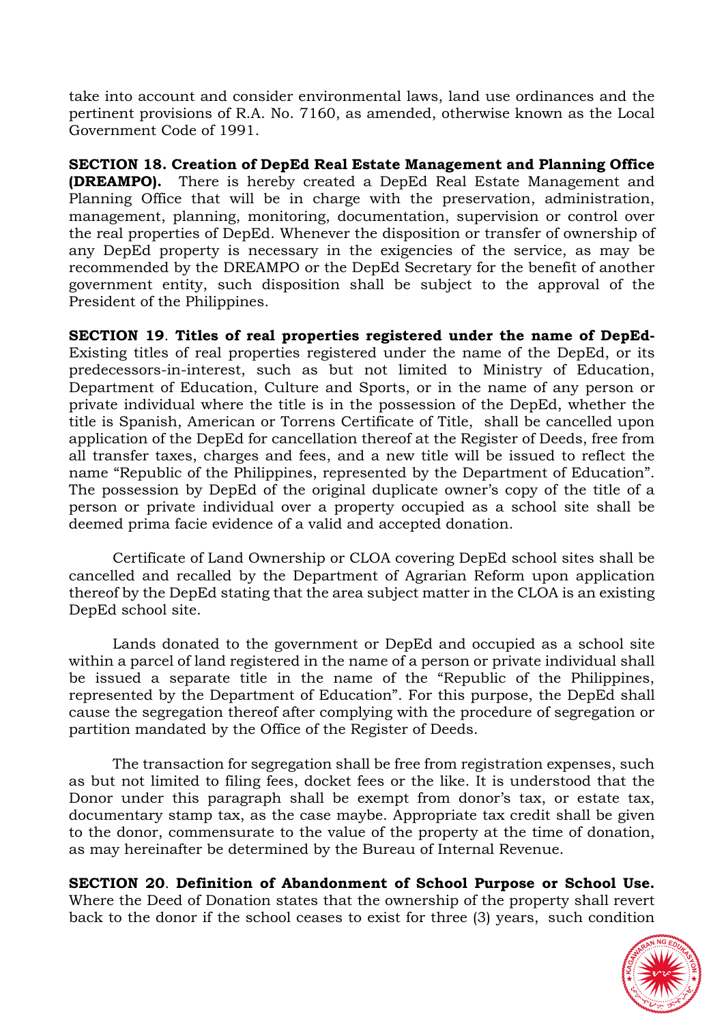take into account and consider environmental laws, land use ordinances and the pertinent provisions of R.A. No. 7160, as amended, otherwise known as the Local Government Code of 1991.

**SECTION 18. Creation of DepEd Real Estate Management and Planning Office (DREAMPO).** There is hereby created a DepEd Real Estate Management and Planning Office that will be in charge with the preservation, administration, management, planning, monitoring, documentation, supervision or control over the real properties of DepEd. Whenever the disposition or transfer of ownership of any DepEd property is necessary in the exigencies of the service, as may be recommended by the DREAMPO or the DepEd Secretary for the benefit of another government entity, such disposition shall be subject to the approval of the President of the Philippines.

**SECTION 19**. **Titles of real properties registered under the name of DepEd-**Existing titles of real properties registered under the name of the DepEd, or its predecessors-in-interest, such as but not limited to Ministry of Education, Department of Education, Culture and Sports, or in the name of any person or private individual where the title is in the possession of the DepEd, whether the title is Spanish, American or Torrens Certificate of Title, shall be cancelled upon application of the DepEd for cancellation thereof at the Register of Deeds, free from all transfer taxes, charges and fees, and a new title will be issued to reflect the name "Republic of the Philippines, represented by the Department of Education". The possession by DepEd of the original duplicate owner's copy of the title of a person or private individual over a property occupied as a school site shall be deemed prima facie evidence of a valid and accepted donation.

Certificate of Land Ownership or CLOA covering DepEd school sites shall be cancelled and recalled by the Department of Agrarian Reform upon application thereof by the DepEd stating that the area subject matter in the CLOA is an existing DepEd school site.

Lands donated to the government or DepEd and occupied as a school site within a parcel of land registered in the name of a person or private individual shall be issued a separate title in the name of the "Republic of the Philippines, represented by the Department of Education". For this purpose, the DepEd shall cause the segregation thereof after complying with the procedure of segregation or partition mandated by the Office of the Register of Deeds.

The transaction for segregation shall be free from registration expenses, such as but not limited to filing fees, docket fees or the like. It is understood that the Donor under this paragraph shall be exempt from donor's tax, or estate tax, documentary stamp tax, as the case maybe. Appropriate tax credit shall be given to the donor, commensurate to the value of the property at the time of donation, as may hereinafter be determined by the Bureau of Internal Revenue.

## **SECTION 20**. **Definition of Abandonment of School Purpose or School Use.**

Where the Deed of Donation states that the ownership of the property shall revert back to the donor if the school ceases to exist for three (3) years, such condition

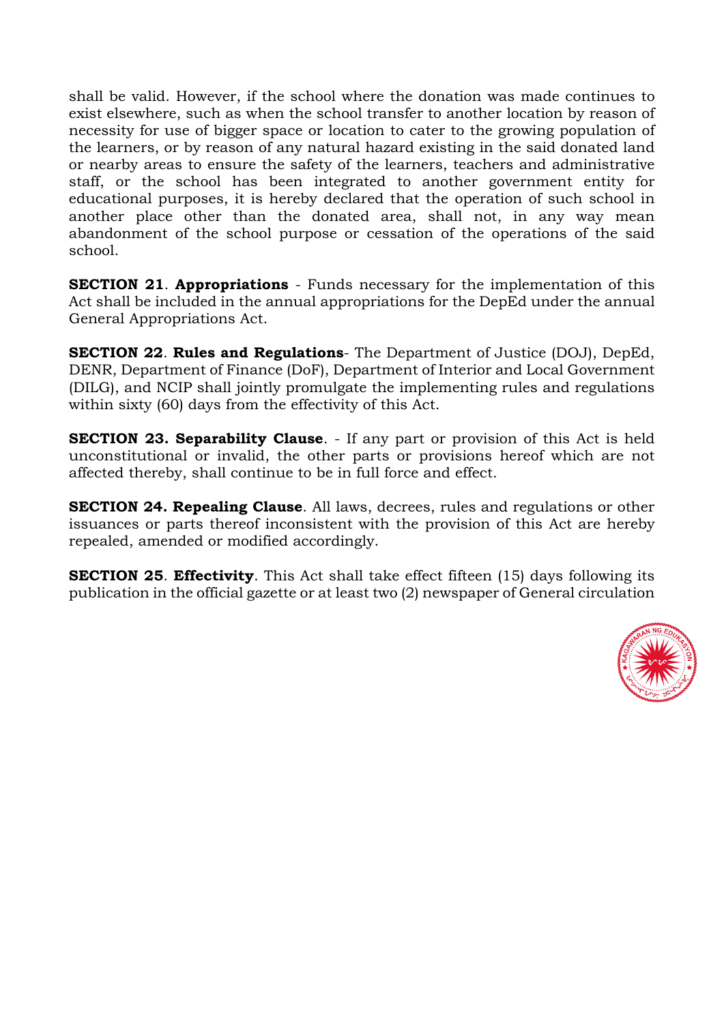shall be valid. However, if the school where the donation was made continues to exist elsewhere, such as when the school transfer to another location by reason of necessity for use of bigger space or location to cater to the growing population of the learners, or by reason of any natural hazard existing in the said donated land or nearby areas to ensure the safety of the learners, teachers and administrative staff, or the school has been integrated to another government entity for educational purposes, it is hereby declared that the operation of such school in another place other than the donated area, shall not, in any way mean abandonment of the school purpose or cessation of the operations of the said school.

**SECTION 21**. **Appropriations** - Funds necessary for the implementation of this Act shall be included in the annual appropriations for the DepEd under the annual General Appropriations Act.

**SECTION 22**. **Rules and Regulations**- The Department of Justice (DOJ), DepEd, DENR, Department of Finance (DoF), Department of Interior and Local Government (DILG), and NCIP shall jointly promulgate the implementing rules and regulations within sixty (60) days from the effectivity of this Act.

**SECTION 23. Separability Clause**. - If any part or provision of this Act is held unconstitutional or invalid, the other parts or provisions hereof which are not affected thereby, shall continue to be in full force and effect.

**SECTION 24. Repealing Clause**. All laws, decrees, rules and regulations or other issuances or parts thereof inconsistent with the provision of this Act are hereby repealed, amended or modified accordingly.

**SECTION 25**. **Effectivity**. This Act shall take effect fifteen (15) days following its publication in the official gazette or at least two (2) newspaper of General circulation